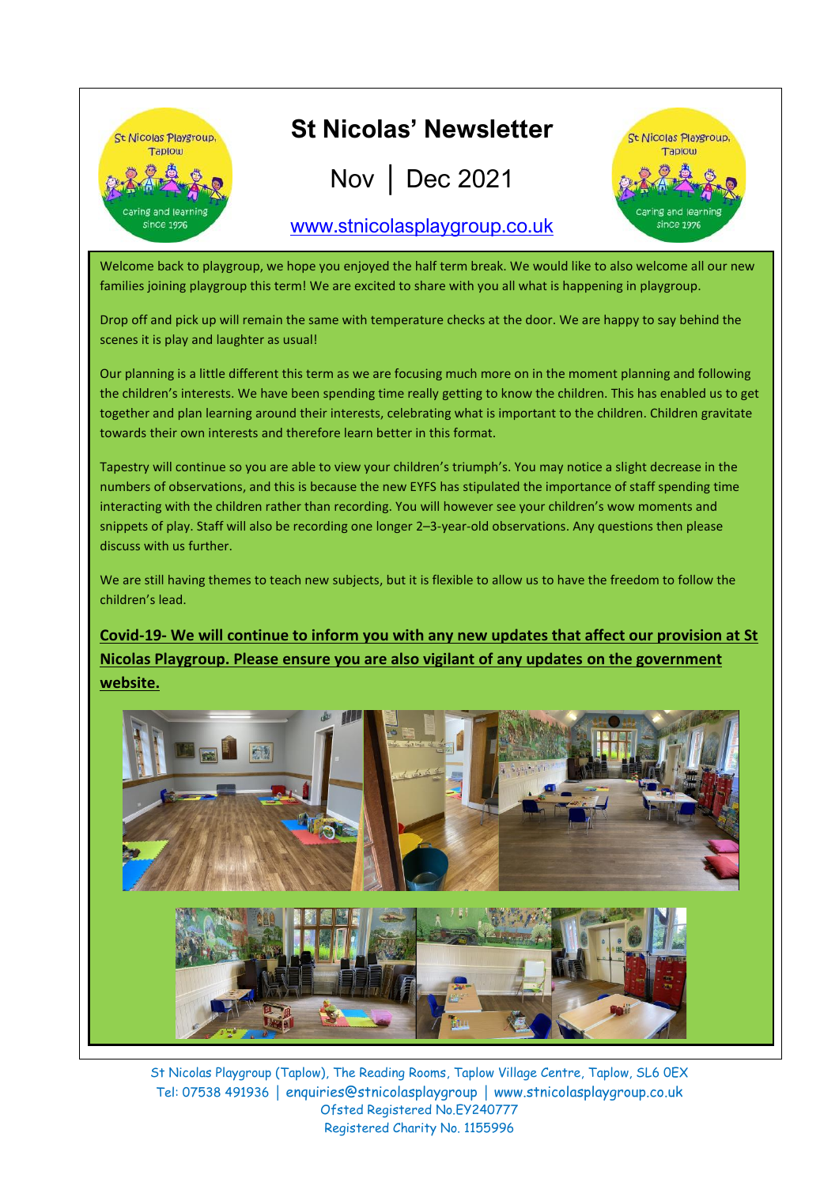

Welcome back to playgroup, we hope you enjoyed the half term break. We would like to also welcome all our new families joining playgroup this term! We are excited to share with you all what is happening in playgroup.

Drop off and pick up will remain the same with temperature checks at the door. We are happy to say behind the scenes it is play and laughter as usual!

Our planning is a little different this term as we are focusing much more on in the moment planning and following the children's interests. We have been spending time really getting to know the children. This has enabled us to get together and plan learning around their interests, celebrating what is important to the children. Children gravitate towards their own interests and therefore learn better in this format.

Tapestry will continue so you are able to view your children's triumph's. You may notice a slight decrease in the numbers of observations, and this is because the new EYFS has stipulated the importance of staff spending time interacting with the children rather than recording. You will however see your children's wow moments and snippets of play. Staff will also be recording one longer 2–3-year-old observations. Any questions then please discuss with us further.

We are still having themes to teach new subjects, but it is flexible to allow us to have the freedom to follow the children's lead.

### **Covid-19- We will continue to inform you with any new updates that affect our provision at St Nicolas Playgroup. Please ensure you are also vigilant of any updates on the government website.**



St Nicolas Playgroup (Taplow), The Reading Rooms, Taplow Village Centre, Taplow, SL6 0EX Tel: 07538 491936 │ enquiries@stnicolasplaygroup │ www.stnicolasplaygroup.co.uk Ofsted Registered No.EY240777 Registered Charity No. 1155996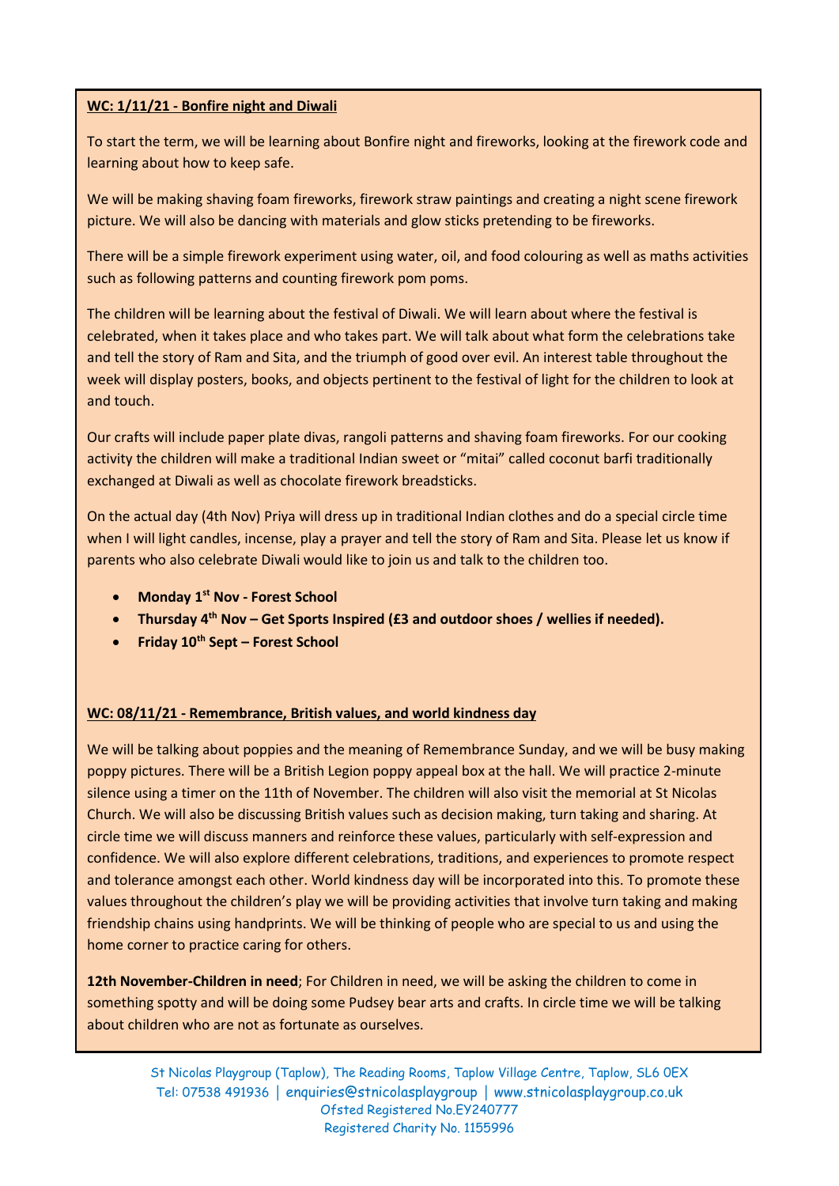#### **WC: 1/11/21 - Bonfire night and Diwali**

To start the term, we will be learning about Bonfire night and fireworks, looking at the firework code and learning about how to keep safe.

We will be making shaving foam fireworks, firework straw paintings and creating a night scene firework picture. We will also be dancing with materials and glow sticks pretending to be fireworks.

There will be a simple firework experiment using water, oil, and food colouring as well as maths activities such as following patterns and counting firework pom poms.

The children will be learning about the festival of Diwali. We will learn about where the festival is celebrated, when it takes place and who takes part. We will talk about what form the celebrations take and tell the story of Ram and Sita, and the triumph of good over evil. An interest table throughout the week will display posters, books, and objects pertinent to the festival of light for the children to look at and touch.

Our crafts will include paper plate divas, rangoli patterns and shaving foam fireworks. For our cooking activity the children will make a traditional Indian sweet or "mitai" called coconut barfi traditionally exchanged at Diwali as well as chocolate firework breadsticks.

On the actual day (4th Nov) Priya will dress up in traditional Indian clothes and do a special circle time when I will light candles, incense, play a prayer and tell the story of Ram and Sita. Please let us know if parents who also celebrate Diwali would like to join us and talk to the children too.

- **Monday 1st Nov - Forest School**
- **Thursday 4th Nov – Get Sports Inspired (£3 and outdoor shoes / wellies if needed).**
- **Friday 10th Sept – Forest School**

#### **WC: 08/11/21 - Remembrance, British values, and world kindness day**

We will be talking about poppies and the meaning of Remembrance Sunday, and we will be busy making poppy pictures. There will be a British Legion poppy appeal box at the hall. We will practice 2-minute silence using a timer on the 11th of November. The children will also visit the memorial at St Nicolas Church. We will also be discussing British values such as decision making, turn taking and sharing. At circle time we will discuss manners and reinforce these values, particularly with self-expression and confidence. We will also explore different celebrations, traditions, and experiences to promote respect and tolerance amongst each other. World kindness day will be incorporated into this. To promote these values throughout the children's play we will be providing activities that involve turn taking and making friendship chains using handprints. We will be thinking of people who are special to us and using the home corner to practice caring for others.

**12th November-Children in need**; For Children in need, we will be asking the children to come in something spotty and will be doing some Pudsey bear arts and crafts. In circle time we will be talking about children who are not as fortunate as ourselves.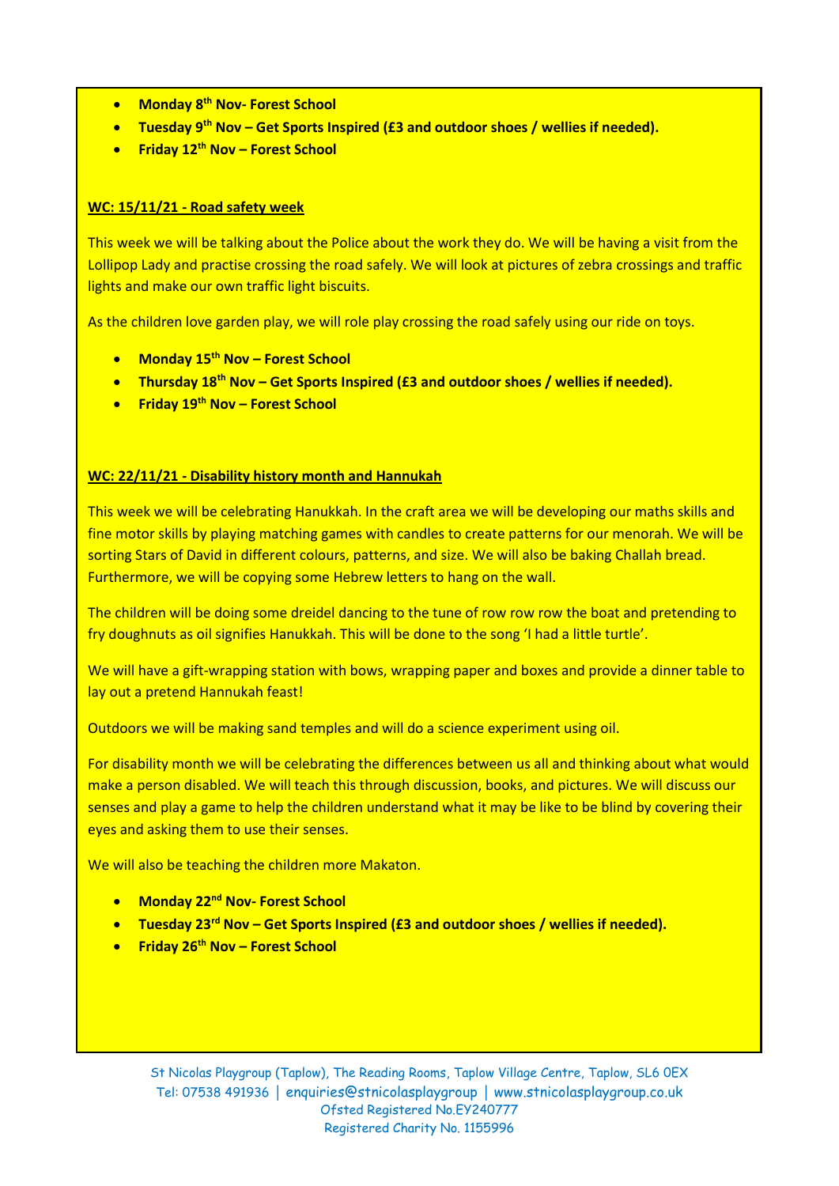- **Monday 8 th Nov- Forest School**
- **Tuesday 9<sup>th</sup> Nov Get Sports Inspired (£3 and outdoor shoes / wellies if needed).**
- **Friday 12th Nov – Forest School**

#### **WC: 15/11/21 - Road safety week**

This week we will be talking about the Police about the work they do. We will be having a visit from the Lollipop Lady and practise crossing the road safely. We will look at pictures of zebra crossings and traffic lights and make our own traffic light biscuits.

As the children love garden play, we will role play crossing the road safely using our ride on toys.

- **Monday 15th Nov – Forest School**
- **Thursday 18th Nov – Get Sports Inspired (£3 and outdoor shoes / wellies if needed).**
- **Friday 19th Nov – Forest School**

#### **WC: 22/11/21 - Disability history month and Hannukah**

This week we will be celebrating Hanukkah. In the craft area we will be developing our maths skills and fine motor skills by playing matching games with candles to create patterns for our menorah. We will be sorting Stars of David in different colours, patterns, and size. We will also be baking Challah bread. Furthermore, we will be copying some Hebrew letters to hang on the wall.

The children will be doing some dreidel dancing to the tune of row row row the boat and pretending to fry doughnuts as oil signifies Hanukkah. This will be done to the song 'I had a little turtle'.

We will have a gift-wrapping station with bows, wrapping paper and boxes and provide a dinner table to lay out a pretend Hannukah feast!

Outdoors we will be making sand temples and will do a science experiment using oil.

For disability month we will be celebrating the differences between us all and thinking about what would make a person disabled. We will teach this through discussion, books, and pictures. We will discuss our senses and play a game to help the children understand what it may be like to be blind by covering their eyes and asking them to use their senses.

We will also be teaching the children more Makaton.

- **Monday 22nd Nov- Forest School**
- **Tuesday 23rd Nov – Get Sports Inspired (£3 and outdoor shoes / wellies if needed).**
- **Friday 26th Nov – Forest School**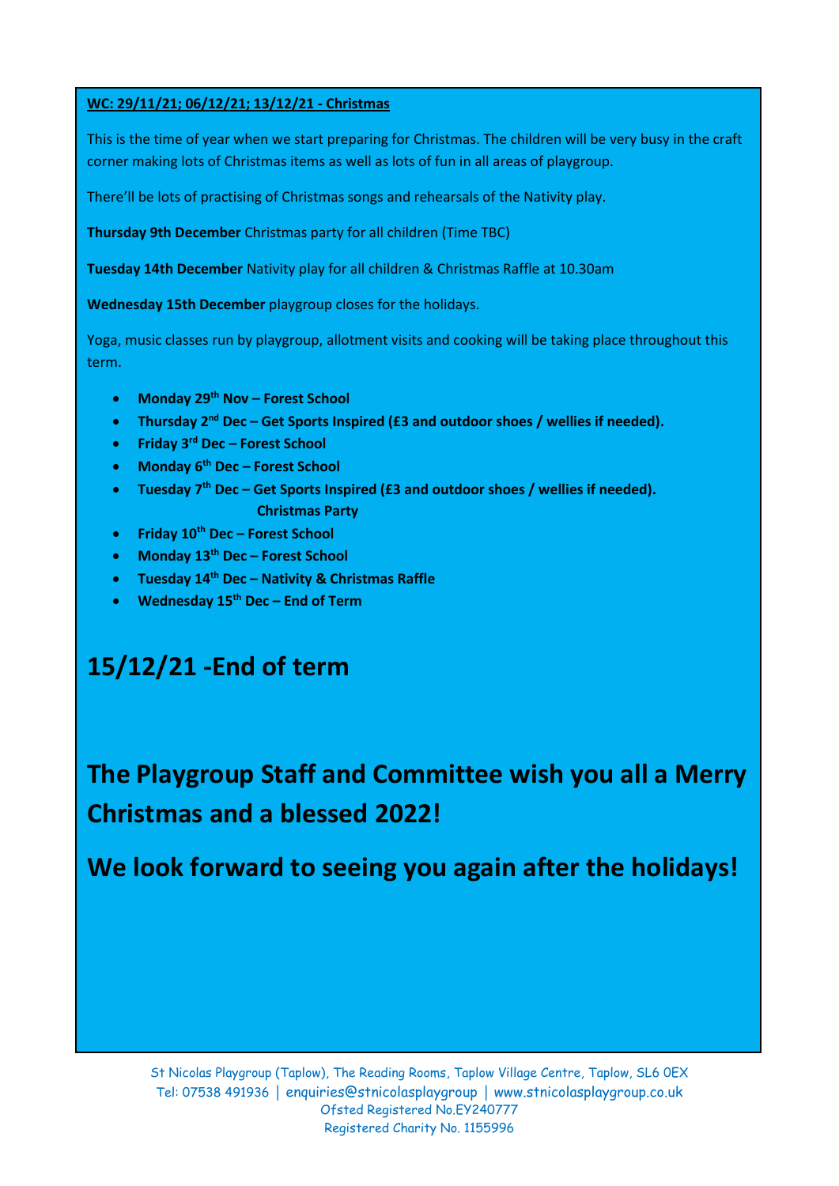#### **WC: 29/11/21; 06/12/21; 13/12/21 - Christmas**

This is the time of year when we start preparing for Christmas. The children will be very busy in the craft corner making lots of Christmas items as well as lots of fun in all areas of playgroup.

There'll be lots of practising of Christmas songs and rehearsals of the Nativity play.

**Thursday 9th December** Christmas party for all children (Time TBC)

**Tuesday 14th December** Nativity play for all children & Christmas Raffle at 10.30am

**Wednesday 15th December** playgroup closes for the holidays.

Yoga, music classes run by playgroup, allotment visits and cooking will be taking place throughout this term.

- **Monday 29th Nov – Forest School**
- **•** Thursday 2<sup>nd</sup> Dec Get Sports Inspired (£3 and outdoor shoes / wellies if needed).
- **Friday 3 rd Dec – Forest School**
- **Monday 6 th Dec – Forest School**
- **•** Tuesday 7<sup>th</sup> Dec Get Sports Inspired (£3 and outdoor shoes / wellies if needed).  **Christmas Party**
- **Friday 10th Dec – Forest School**
- **Monday 13th Dec – Forest School**
- **Tuesday 14th Dec – Nativity & Christmas Raffle**
- **Wednesday 15th Dec – End of Term**

# **15/12/21 -End of term**

**The Playgroup Staff and Committee wish you all a Merry Christmas and a blessed 2022!**

**We look forward to seeing you again after the holidays!**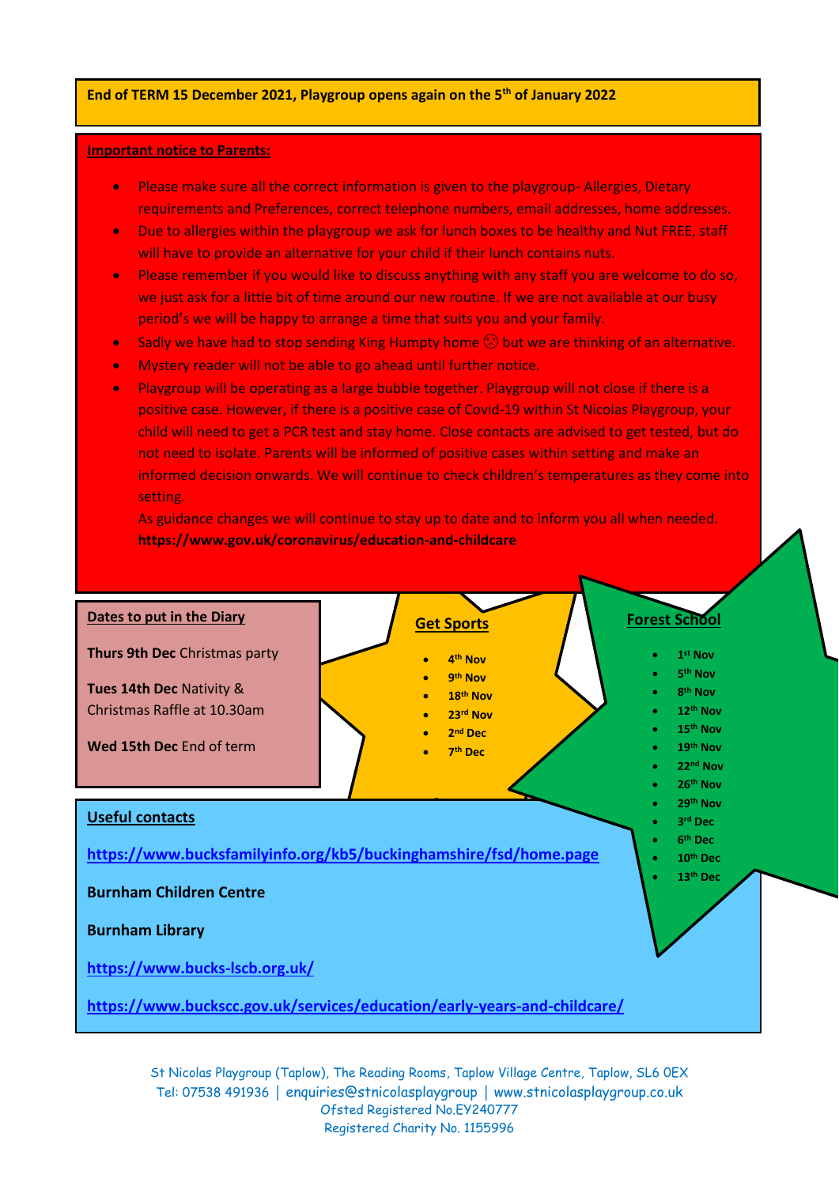#### **End of TERM 15 December 2021, Playgroup opens again on the 5 th of January 2022**

#### **Important notice to Parents:**

- Please make sure all the correct information is given to the playgroup- Allergies, Dietary requirements and Preferences, correct telephone numbers, email addresses, home addresses.
- Due to allergies within the playgroup we ask for lunch boxes to be healthy and Nut FREE, staff will have to provide an alternative for your child if their lunch contains nuts.
- Please remember if you would like to discuss anything with any staff you are welcome to do so, we just ask for a little bit of time around our new routine. If we are not available at our busy period's we will be happy to arrange a time that suits you and your family.
- Sadly we have had to stop sending King Humpty home  $\bigcirc$  but we are thinking of an alternative.
- Mystery reader will not be able to go ahead until further notice.
- Playgroup will be operating as a large bubble together. Playgroup will not close if there is a positive case. However, if there is a positive case of Covid-19 within St Nicolas Playgroup, your child will need to get a PCR test and stay home. Close contacts are advised to get tested, but do not need to isolate. Parents will be informed of positive cases within setting and make an informed decision onwards. We will continue to check children's temperatures as they come into setting.

As guidance changes we will continue to stay up to date and to inform you all when needed. **https://www.gov.uk/coronavirus/education-and-childcare**



St Nicolas Playgroup (Taplow), The Reading Rooms, Taplow Village Centre, Taplow, SL6 0EX Tel: 07538 491936 │ enquiries@stnicolasplaygroup │ www.stnicolasplaygroup.co.uk Ofsted Registered No.EY240777 Registered Charity No. 1155996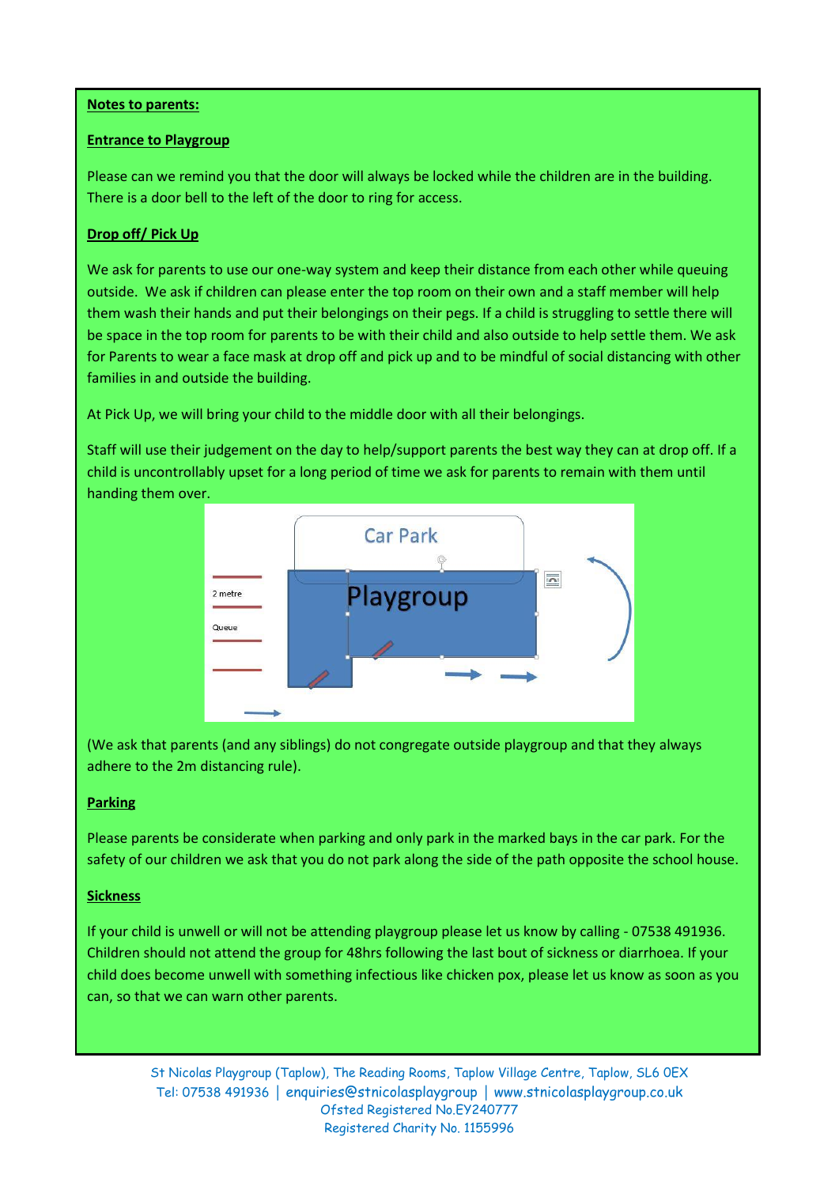#### **Notes to parents:**

#### **Entrance to Playgroup**

 $75.75$  and  $75.75$  cm  $23.7$   $\mu$  or  $23.7$   $\mu$   $25.7$   $\mu$   $25.7$   $\mu$   $25.7$   $\mu$   $25.7$   $\mu$   $25.7$   $\mu$   $25.7$   $\mu$   $25.7$   $\mu$   $25.7$   $\mu$   $25.7$   $\mu$   $25.7$   $\mu$   $25.7$   $\mu$   $25.7$   $\mu$   $25.7$   $\mu$   $25.7$   $\mu$   $25$ Please can we remind you that the door will always be locked while the children are in the building. There is a door bell to the left of the door to ring for access.

#### **Drop off/ Pick Up**

outside. We ask if children can please enter the top room on their own and a staff member will help them wash their hands and put their belongings on their pegs. If a child is struggling to settle there will for Parents to wear a face mask at drop off and pick up and to be mindful of social distancing with other We ask for parents to use our one-way system and keep their distance from each other while queuing be space in the top room for parents to be with their child and also outside to help settle them. We ask families in and outside the building.

At Pick Up, we will bring your child to the middle door with all their belongings.

Staff will use their judgement on the day to help/support parents the best way they can at drop off. If a child is uncontrollably upset for a long period of time we ask for parents to remain with them until handing them over.



(We ask that parents (and any siblings) do not congregate outside playgroup and that they always adhere to the 2m distancing rule).

#### **Parking**

Please parents be considerate when parking and only park in the marked bays in the car park. For the safety of our children we ask that you do not park along the side of the path opposite the school house.

#### **Sickness**

If your child is unwell or will not be attending playgroup please let us know by calling - 07538 491936. Children should not attend the group for 48hrs following the last bout of sickness or diarrhoea. If your child does become unwell with something infectious like chicken pox, please let us know as soon as you can, so that we can warn other parents.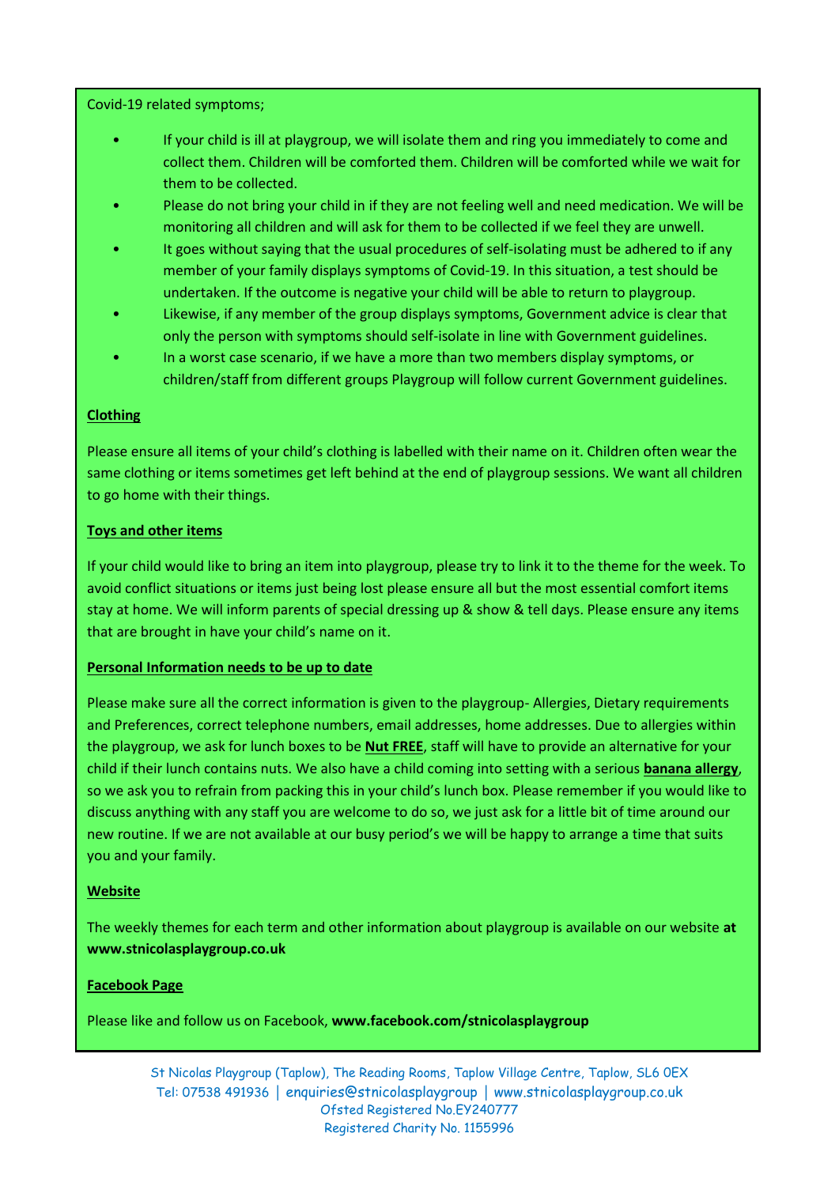Covid-19 related symptoms;

- If your child is ill at playgroup, we will isolate them and ring you immediately to come and collect them. Children will be comforted them. Children will be comforted while we wait for them to be collected.
- Please do not bring your child in if they are not feeling well and need medication. We will be monitoring all children and will ask for them to be collected if we feel they are unwell.
- It goes without saying that the usual procedures of self-isolating must be adhered to if any member of your family displays symptoms of Covid-19. In this situation, a test should be undertaken. If the outcome is negative your child will be able to return to playgroup.
- Likewise, if any member of the group displays symptoms, Government advice is clear that only the person with symptoms should self-isolate in line with Government guidelines.
- In a worst case scenario, if we have a more than two members display symptoms, or children/staff from different groups Playgroup will follow current Government guidelines.

#### **Clothing**

Please ensure all items of your child's clothing is labelled with their name on it. Children often wear the same clothing or items sometimes get left behind at the end of playgroup sessions. We want all children to go home with their things.

#### **Toys and other items**

If your child would like to bring an item into playgroup, please try to link it to the theme for the week. To avoid conflict situations or items just being lost please ensure all but the most essential comfort items stay at home. We will inform parents of special dressing up & show & tell days. Please ensure any items that are brought in have your child's name on it.

#### **Personal Information needs to be up to date**

Please make sure all the correct information is given to the playgroup- Allergies, Dietary requirements and Preferences, correct telephone numbers, email addresses, home addresses. Due to allergies within the playgroup, we ask for lunch boxes to be **Nut FREE**, staff will have to provide an alternative for your child if their lunch contains nuts. We also have a child coming into setting with a serious **banana allergy**, so we ask you to refrain from packing this in your child's lunch box. Please remember if you would like to discuss anything with any staff you are welcome to do so, we just ask for a little bit of time around our new routine. If we are not available at our busy period's we will be happy to arrange a time that suits you and your family.

#### **Website**

The weekly themes for each term and other information about playgroup is available on our website **at www.stnicolasplaygroup.co.uk**

#### **Facebook Page**

Please like and follow us on Facebook, **www.facebook.com/stnicolasplaygroup**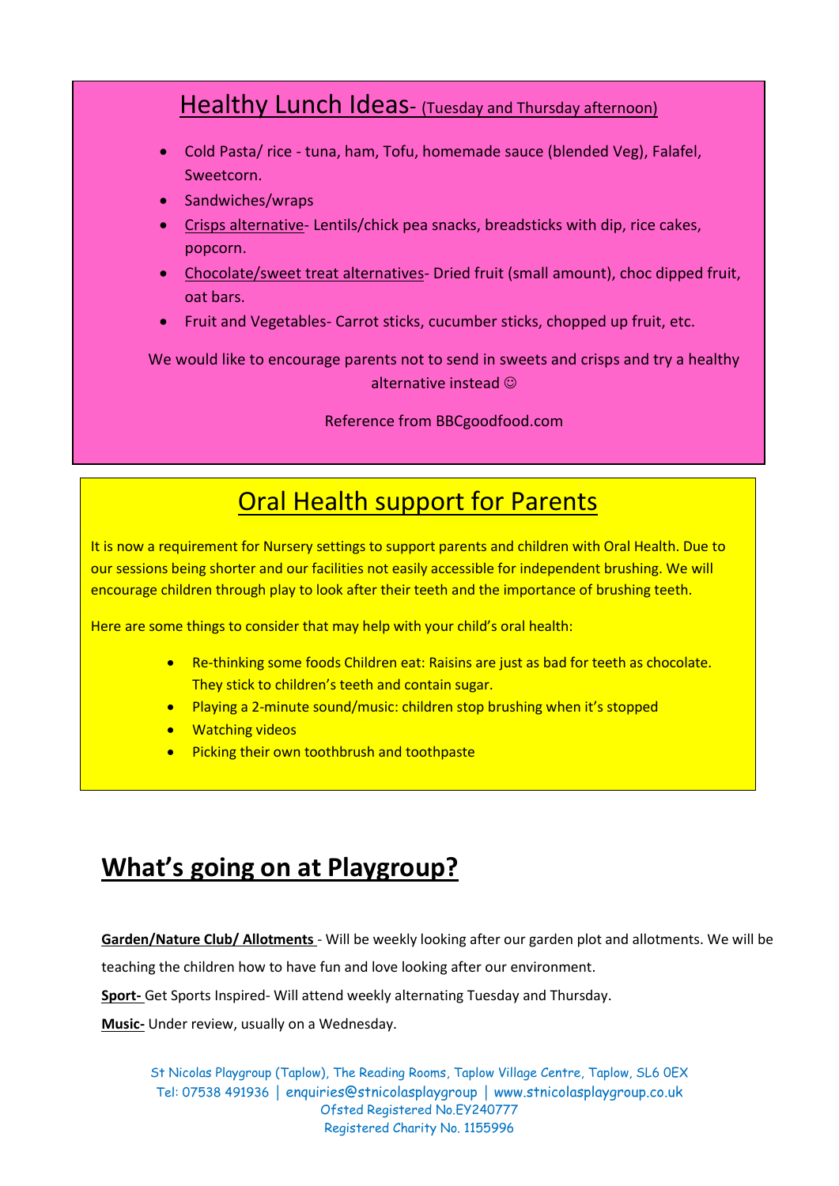## Healthy Lunch Ideas- (Tuesday and Thursday afternoon)

- Cold Pasta/ rice tuna, ham, Tofu, homemade sauce (blended Veg), Falafel, Sweetcorn.
- Sandwiches/wraps
- Crisps alternative- Lentils/chick pea snacks, breadsticks with dip, rice cakes, popcorn.
- Chocolate/sweet treat alternatives- Dried fruit (small amount), choc dipped fruit, oat bars.
- Fruit and Vegetables- Carrot sticks, cucumber sticks, chopped up fruit, etc.

We would like to encourage parents not to send in sweets and crisps and try a healthy alternative instead  $\odot$ 

Reference from BBCgoodfood.com

# Oral Health support for Parents

It is now a requirement for Nursery settings to support parents and children with Oral Health. Due to our sessions being shorter and our facilities not easily accessible for independent brushing. We will encourage children through play to look after their teeth and the importance of brushing teeth.

Here are some things to consider that may help with your child's oral health:

- Re-thinking some foods Children eat: Raisins are just as bad for teeth as chocolate. They stick to children's teeth and contain sugar.
- Playing a 2-minute sound/music: children stop brushing when it's stopped
- Watching videos
- Picking their own toothbrush and toothpaste

# **What's going on at Playgroup?**

**Garden/Nature Club/ Allotments** - Will be weekly looking after our garden plot and allotments. We will be

teaching the children how to have fun and love looking after our environment.

**Sport-** Get Sports Inspired- Will attend weekly alternating Tuesday and Thursday.

**Music-** Under review, usually on a Wednesday.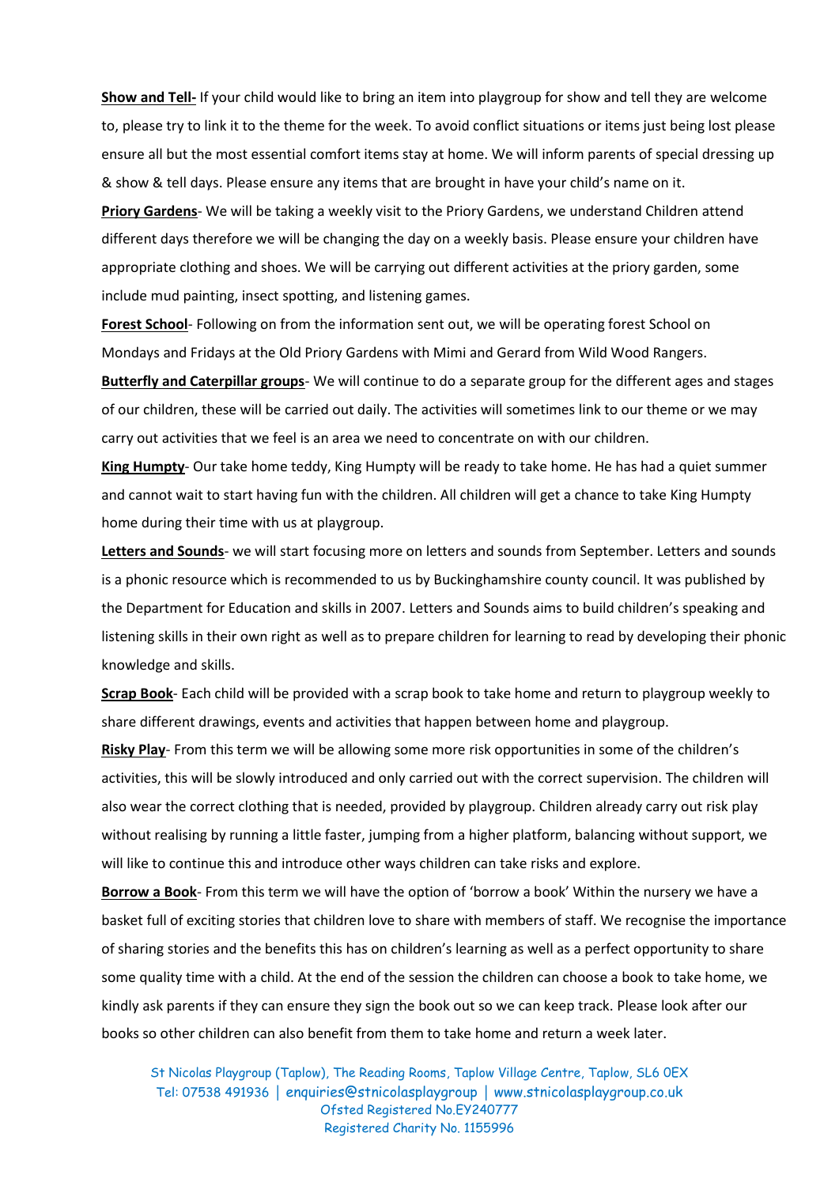**Show and Tell-** If your child would like to bring an item into playgroup for show and tell they are welcome to, please try to link it to the theme for the week. To avoid conflict situations or items just being lost please ensure all but the most essential comfort items stay at home. We will inform parents of special dressing up & show & tell days. Please ensure any items that are brought in have your child's name on it.

**Priory Gardens**- We will be taking a weekly visit to the Priory Gardens, we understand Children attend different days therefore we will be changing the day on a weekly basis. Please ensure your children have appropriate clothing and shoes. We will be carrying out different activities at the priory garden, some include mud painting, insect spotting, and listening games.

**Forest School**- Following on from the information sent out, we will be operating forest School on Mondays and Fridays at the Old Priory Gardens with Mimi and Gerard from Wild Wood Rangers.

**Butterfly and Caterpillar groups**- We will continue to do a separate group for the different ages and stages of our children, these will be carried out daily. The activities will sometimes link to our theme or we may carry out activities that we feel is an area we need to concentrate on with our children.

**King Humpty**- Our take home teddy, King Humpty will be ready to take home. He has had a quiet summer and cannot wait to start having fun with the children. All children will get a chance to take King Humpty home during their time with us at playgroup.

**Letters and Sounds**- we will start focusing more on letters and sounds from September. Letters and sounds is a phonic resource which is recommended to us by Buckinghamshire county council. It was published by the Department for Education and skills in 2007. Letters and Sounds aims to build children's speaking and listening skills in their own right as well as to prepare children for learning to read by developing their phonic knowledge and skills.

**Scrap Book**- Each child will be provided with a scrap book to take home and return to playgroup weekly to share different drawings, events and activities that happen between home and playgroup.

**Risky Play**- From this term we will be allowing some more risk opportunities in some of the children's activities, this will be slowly introduced and only carried out with the correct supervision. The children will also wear the correct clothing that is needed, provided by playgroup. Children already carry out risk play without realising by running a little faster, jumping from a higher platform, balancing without support, we will like to continue this and introduce other ways children can take risks and explore.

**Borrow a Book**- From this term we will have the option of 'borrow a book' Within the nursery we have a basket full of exciting stories that children love to share with members of staff. We recognise the importance of sharing stories and the benefits this has on children's learning as well as a perfect opportunity to share some quality time with a child. At the end of the session the children can choose a book to take home, we kindly ask parents if they can ensure they sign the book out so we can keep track. Please look after our books so other children can also benefit from them to take home and return a week later.

St Nicolas Playgroup (Taplow), The Reading Rooms, Taplow Village Centre, Taplow, SL6 0EX Tel: 07538 491936 │ enquiries@stnicolasplaygroup │ www.stnicolasplaygroup.co.uk Ofsted Registered No.EY240777 Registered Charity No. 1155996